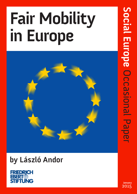# **Fair Mobility in Europe**



## **by László Andor**



**January**  2015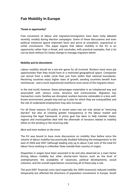### **Fair Mobility In Europe**

#### **Threat or opportunity?**

Free movement of labour and migration/immigration have been hotly debated recently, notably during election campaigns. Some of these discussions and even political initiatives ignore important facts and arrive at unrealistic, unpractical or unfair conclusions. This paper argues that labour mobility in the EU is an opportunity rather than a threat, and concludes, with practical examples, that a lot can be done without EU treaty change to manage migration better.

#### **Mobility and its discontents**

Labour mobility should be a win-win game for all involved. Workers have more job opportunities than they would have in a restricted geographical space. Companies can recruit from a wider circle than just from within their national boundaries. Receiving countries enjoy higher rates of growth; sending countries benefit from remittances - and a more experienced workforce once some of the migrants return.

In the real world, however, these advantages materialise in an imbalanced way and associated with various costs, tensions and controversies. Migration has transaction costs, families are disrupted, workers become vulnerable in a less wellknown environment, people may end up in jobs for which they are overqualified, and the risk of undeclared employment may also increase.

For all these reasons, EU policy in recent years has not only aimed at "removing barriers" but also at creating greater transparency in the labour market and improving the legal framework. A prime goal has been to help member states, regions and municipalities deal with the aftermath of tensions related to mobility either on the sending or the receiving side.

#### *More and more workers on the move*

The EU was bound to have more discussions on mobility than before since the volume of labour mobility has practically doubled following the enlargements to the east of 2004 and 2007 (although leading only up to about 3 per cent of the total EU labour force working in a Member State outside their country of origin).

Disparities in wages have been assumed to be and also observed as a main factor driving labour mobility but other shorter-term factors such as the level of unemployment, the availability of vacancies, political developments, social cohesion, and the overall expectations concerning all of these play a role.

The post-2007 financial crisis (and especially the 2009 recession) reduced mobility temporarily but affected the directions of population movements in Europe. South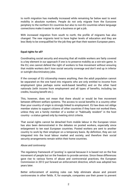to north migration has markedly increased while remaining far below east to west mobility in absolute numbers. People do not only migrate from the Eurozone periphery to the northern EU countries but also to non-EU countries where language connections make it easier to start a business or get a job.

With increased migration from south to north, the profile of migrants has also changed. The new migrants tend to have higher levels of education and they are less likely to be overqualified for the job they get than their eastern European peers.

#### **Equal rights for all?**

Coordinating social security and ensuring that all mobile workers are fairly covered is a key element in our approach if one is to preserve mobility as a win-win game. In the EU, one cannot defend the right of workers to free movement without ensuring that mobile workers don't lose social security coverage and don't end up in inferior or outright discriminatory jobs.

If the concept of EU citizenship means anything, then the adult population cannot be separated on the one hand into migrants who are only entitled to income from employment (plus perhaps some work-based benefits) and on the other hand nationals (with income from employment and all types of benefits, including tax credits, housing benefit etc.).

This, however, does not mean that there should or would be free movement between different welfare systems. The access to social benefits in a country other than your country of origin is strongly linked to employment. EU law does not oblige member states to support citizens of other countries if they have not worked there, unless they are a family member of a worker or "habitually resident" in the host country - a status gained only by meeting strict criteria.

That social rights cannot be detached from mobile labour in the European Union has also been demonstrated in the debates on posted workers, especially since enlargement to ten east European countries. Posted workers are sent to another country to work by their employer on a temporary basis. By definition, they are not integrated into the local labour market and society, and therefore their social security arrangements remain within their home countries.

#### *Abuse and controversy*

The regulatory framework of 'posting' is special because it is based not on the free movement of people but on the freedom to provide *services*. Since these differences gave rise to various forms of abuse and controversial practices, the European Commission in 2012 put forward an enforcement directive, which was adopted two years later.

Better enforcement of existing rules can help eliminate abuse and prevent controversies in other fields. If, for example, companies use their power to prevent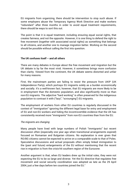EU migrants from organizing, there should be intervention to stop such abuse. If some employers abuse the Temporary Agency Work Directive and make workers "redundant" after three months in order to avoid equal treatment requirements, there should be ways to sort this out.

The point is that it is equal treatment, including ensuring equal social rights, that creates fairness, and not the opposite. However, it is one thing to defend the right to free movement (together with associated social rights) as something that belongs to all citizens, and another one to manage migration better. Working on the second should be possible without calling the first into question.

#### **The UK confuses itself – and all others**

There are many debates in Europe about the free movement and migration but the UK debate is by far the most vivid. However, it sometimes brings more confusion than clarity. Viewed from the continent, the UK debate seems distorted and unfair for many reasons.

First, the mainstream parties are failing to resist the pressure from UKIP (UK Independence Party), which portrays EU migrants solely as a burden economically and socially. It's a well-known fact, however, that EU migrants are more likely to be in employment than the domestic population, and also significantly more so than non-EU migrants. The adjective "hard working" is often preserved for the indigenous population to contrast it with ("lazy", "scrounging") EU migrants.

The employment of workers from other EU countries is regularly discussed in the context of "immigration" ignoring the different legal base for entry and employment of EU and non-EU workers and hiding the incontrovertible evidence that the UK has consistently received more "immigrants" from non-EU countries than from the EU.

#### *The migrants are changing*

Many people have lived with large numbers of Polish "immigrants" but recent discussion often (especially one year ago when transitional arrangements expired) focused on Romanian and Bulgarian citizens. No explanation is ever given that RO/BG citizens cannot be expected to arrive on a comparable scale to that of Poles. Speculative discussions and actual proposals often simply linked immigration to the (past and future) enlargements of the EU without mentioning that the recent rise in migration is from the crisis-hit southern region of the Eurozone.

Another argument is that, when EU leaders drew up the initial rules, they were not expecting the EU to be so large and diverse. Yet the EU directive that regulates free movement and social security coordination was adopted as late as the 29 April 2004, just a few days before ten countries joined the EU. $^{\rm 1}$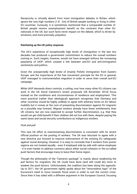Reciprocity is virtually absent from most immigration debates in Britain, which ignore the very high numbers (1.8 - 2m) of British people working or living in other EU countries. Curiously, it is sometimes mentioned that a comparable number of British people receive unemployment benefit on the continent than other EU nationals in the UK, but such facts never impact on the debate, which is driven by emotions, and more precisely, prejudice.

#### **Ratcheting up the UK policy response**

The UK's experience of exceptionally high levels of immigration in the last two decades has produced a government commitment to reduce the overall numbers coming in. Such targets, however, would not have emerged without the increasing popularity of UKIP, which created a link between anti-EU and anti-immigration sentiments and politics.

Given the unexpectedly high levels of (mainly Polish) immigration from Eastern Europe, and the importance of the free movement principle for the EU in general, UKIP managed to instrumentalise migration in order to serve their overall anti-EU campaign.

While UKIP demands direct controls, a ceiling, over how many other EU citizens can work in the UK David Cameron's recent proposals (28 November 2014) focus instead on the conditions and circumstances of residence and employment. This more practical (rather than ideological) approach recognises that Germany and other countries would be highly unlikely to agree with arbitrary limits on EU labour mobility but it comes at the cost of presenting discrimination against EU migrants as a possible way forward. Migrant workers already have fewer entitlements than UK citizens, but are now expected to accept further discrimination, e.g. that they would not get child benefit if their children did not live with them, despite paying the same taxes and social security contributions as indigenous workers.

#### *Push and pull*

This new UK effort at mainstreaming discrimination is consistent with its recent official position on the posting of workers. The UK was reluctant to agree with a new directive put forward to improve enforcement of the existing EU safeguards against social dumping. However, it is easy to conclude that if workers from poorer regions are not treated equally - even if employed side by side with native employee - it is even harder to address concerns about either social cohesion or the so-called push factors that encourage many to leave their home region.

Though the philosophy of the "Cameron package" is mainly about weakening the *pull* factors for migration, the UK could have done (and still could do) more to weaken the *push* factors. Unfortunately, the coalition has been doing the opposite. Up to 2011, the UK government rightly spoke about the "remorseless logic" of the Eurozone's need to move towards fiscal union in order to exit the current crisis. Since then it has sided with a different argument in the European Council, focusing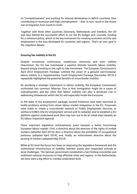on "competitiveness" and pushing for internal devaluation in deficit countries, thus contributing to recession and high unemployment – that, in turn, result in the recent rise of migration from south to north.

Together with three other countries (Germany, Netherlands and Sweden), the UK was also behind the successful effort to cut the EU budget and, crucially, funding for a cohesion policy, which is the key instrument for creating economic activity and employment in the less developed EU countries and regions. That's an own goal in the migration debate.

#### **Ensuring fair mobility in the EU**

Despite occasional controversy, scepticism, animosity and even welfare chauvinism, the EU has maintained a positive attitude towards labour mobility, beyond simply insisting on the right to free movement. The European Commission's April 2012 Employment Package outlined the vision of a genuine pan-European labour market; in a supplementary Youth Employment Package (December 2012) it repeatedly highlighted the potential benefits of cross-border mobility.

By ascribing a strategic importance to labour mobility, the European Commission confronted two common fallacies. One is that immigration might be a cause of unemployment, and the other that labour mobility can play a dominant role in addressing imbalances within the EU and especially inside the Eurozone.

In the wake of the employment package, several initiatives have been launched to tackle problems arising from closer labour market integration in the EU. Proposals were made to create a cross-border network of Public Employment Services, to reinforce EURES (the EU employment service and its website), and to establish a EU platform against undeclared work (this may turn out to be an initial step towards an EU labour inspection agency).

Three important legislative achievements point towards a better functioning European labour market. First, a directive about the exercise of the rights of mobile workers (adopted April 2014), then a directive about the portability of occupational pensions (adopted April 2014), and, finally, an enforcement directive about the posting of workers (adopted May 2014).

While at EU level the focus has been on improving the legislative framework and the institutional infrastructure of mobility, member states also responded actively to local challenges. The German government established a fact-finding committee and mobilized national resources to help affected cities and regions. In the Netherlands, we have seen a big effort to combat undeclared work.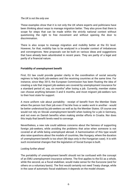#### *The UK is not the only one*

These examples show that it is not only the UK where experts and politicians have been thinking about ways to manage migration better. They also prove that there is scope for steps that can be made within the strictly national context without questioning the right to free movement and without opening the door to discrimination.

There is also scope to manage migration and mobility better at the EU level. However, for that, mobility has to be analyzed in a broader context of imbalances and convergences. New proposals can be built on various ideas and suggestions that have already been adumbrated in recent years. They are partly of a legal and partly of a financial nature.

#### **Portability of unemployment benefit**

First, EU law could provide greater clarity in the coordination of social security regimes to help both job-seekers and the receiving countries at the same time. For instance, since May 2013, the European Commission has been floating the idea of creating a rule that migrant job-seekers are covered by unemployment insurance for a standard period of, say, six months $^2$  after losing a job. Currently, member states can choose anything between 3 and 6 months, and most migrant job-seekers turn to their host state for support.

A more uniform rule about portability - receipt of benefit from the Member State where the person lost their job even if he/she lives or seeks work in another - would be better understood by job-seekers as well as by the Member States. Of course one would not rely on Slovak unemployment benefit when looking for a job in Germany, and not even on Danish benefits when making similar efforts in Croatia. Nor does this imply that benefit levels need to converge.

Nevertheless, a new rule could address concerns about the fairness of supporting foreign job-seekers, while avoiding the problems that arise when someone is not covered at all while being unemployed abroad. A harmonisation of this type would also raise questions about the models of countries, like Hungary, where the duration of unemployment benefit is too short (90 days only in the Hungarian case). It is with such incremental changes that the legislation of Social Europe is built.

#### *Looking further ahead*

The portability of unemployment benefit should not be confused with the concept of an EMU unemployment insurance scheme. The first applies to the EU as a whole, while the second, as a fiscal stabiliser, would make sense for the Eurozone (and for others on a voluntary basis). The first would certainly not need Treaty change, while in the case of automatic fiscal stabilisers it depends on the model chosen.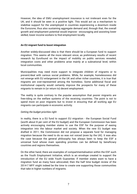However, the idea of EMU unemployment insurance is not irrelevant even for the UK, and it should be seen in a positive light. This would act as a mechanism to stabilise support for the unemployed in countries experiencing a downturn inside the Eurozone, thus also sustaining aggregate demand and, through that, the overall growth and employment potential would improve - encouraging and assisting lower skilled, lower income workers to find employment locally.

#### **An EU migrant fund to boost integration**

Another widely-discussed idea is that there should be a European fund to support migration. This seems all the more relevant since, as preliminary results of recent research by Eurofound on the impact of mobility on public services revealed, integration costs and other problems arise mainly at a subnational level, within local communities.

Municipalities may need more support to integrate children of migrants or to prevent/deal with various social problems. While, for example, homelessness did not emerge with EU enlargement in the UK and other richer countries, it is true that migrants are over-represented among the homeless. Some additional fiscal and institutional capacity would certainly improve the prospects for many of these migrants to remain in (or return to) decent employment.

The reality is quite contrary to the popular assumption that poorer migrants are free-riding on the welfare systems of the receiving countries. The point is not to spend more on poor migrants but to invest in ensuring that all working age EU migrants can participate in economic activity.

#### *Getting the budget priorities right*

In reality, there is a EU fund to support EU migration - the European Social Fund (worth about 8 per cent of the EU budget) and the European Commission has been actively encouraging member states to use the ESF for the purpose of easing integration into the labour market and society. When the new EU budget was drafted in 2011, the Commission did not propose a separate fund for managing migration because the need to do so was not voiced (even by the UK). It was also the case because the general philosophy has always been to keep the ESF a universal fund whose main spending priorities can be defined by beneficiary countries and regions themselves.

On the other hand, there are examples of compartmentalisation within the ESF such as the Youth Employment Initiative, which is an envelope created to support the introduction of the EU wide Youth Guarantee. If member states want to have a migration fund as many have advocated, then the half time budget review of the 2014-7 MFF might indeed be the time to create one supporting those communities that take in higher numbers of migrants.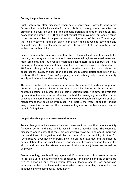#### **Solving the problems best at home**

Push factors are often discussed when people contemplate ways to bring more fairness into mobility inside the EU. And this is not wrong, since these factors prevailing in countries of origin and affecting potential migration are not entirely exogenous in Europe. The EU should not restrict free movement, but should strive to reduce the number of people who want to migrate out of despair. The stronger the role professional ambition plays in migration (as opposed to economic and political ones), the greater chance we have to improve both the quality of and satisfaction with mobility.

Indeed, more can be done to ensure that the EU financial instruments available for creating prosperity and opportunities in less developed regions are used better and more efficiently and thus reduce migration push-factors. It is not true that it is primarily in the new member states where there are problems with the absorption of EU funds - though it is the case that, in countries such as Romania, neither the speed nor the quality of absorption has been encouraging. Better absorption of EU funds on the EU (and Eurozone) periphery would certainly help create prosperity locally and reduce incentives for mobility.

Those who make a close connection between the use of EU funds and migration often ask the question if the unused funds could be diverted to the countries of migrants' destination in order to help their integration there. It is better to avoid this by ensuring there is a more effective method for managing funds than under conventional shared management. A MFF review could establish a system of direct management that could be introduced (well before the threat of taking funding away) when it is shown that the management system of the beneficiary member state is falling down.

#### **Cooperative change that makes a real difference**

Treaty change is not necessary for new measures to ensure that labour mobility functions better in the EU and is seen in a more positive light. The examples discussed above show that there are constructive ways to think about improving the conditions of migration and the outcome of labour mobility in the EU. "Constructive" does not mean purely insisting on the status quo and the inherited body of labour law and social security coordination. It means ensuring fairness for all: old and new member states, home and host countries, job-seekers as well as employers.

Beyond mobility, people will only agree with EU cooperation if it is perceived to be fair for all. But fair solutions can only be reached if the analysis and the debates are free of distortion and manipulation. Political leaders should use convincing arguments rather than issue ultimatums when setting priorities, announcing new initiatives and choosing policy instruments.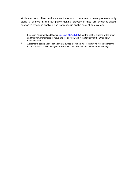While elections often produce new ideas and commitments, new proposals only stand a chance in the EU policy-making process if they are evidence-based, supported by sound analysis and not made up on the back of an envelope.

<sup>&</sup>lt;sup>1</sup> European Parliament and Council *Directive 2004/38/EC* about the right of citizens of the Union and their family members to move and reside freely within the territory of the EU and EEA member states.

<sup>&</sup>lt;sup>2</sup> A six-month stay is allowed in a country by free movement rules, but having just three months income leaves a hole in the system. This hole could be eliminated without treaty change.